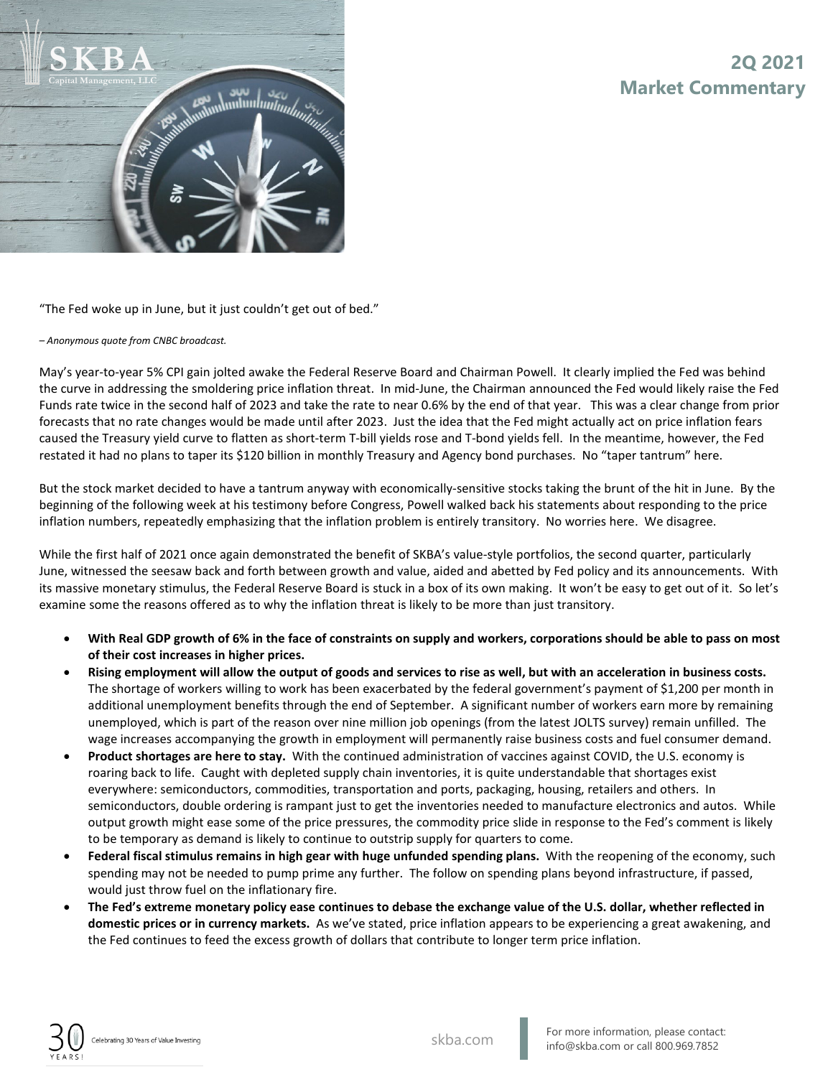



"The Fed woke up in June, but it just couldn't get out of bed."

## *– Anonymous quote from CNBC broadcast.*

May's year-to-year 5% CPI gain jolted awake the Federal Reserve Board and Chairman Powell. It clearly implied the Fed was behind the curve in addressing the smoldering price inflation threat. In mid-June, the Chairman announced the Fed would likely raise the Fed Funds rate twice in the second half of 2023 and take the rate to near 0.6% by the end of that year. This was a clear change from prior forecasts that no rate changes would be made until after 2023. Just the idea that the Fed might actually act on price inflation fears caused the Treasury yield curve to flatten as short-term T-bill yields rose and T-bond yields fell. In the meantime, however, the Fed restated it had no plans to taper its \$120 billion in monthly Treasury and Agency bond purchases. No "taper tantrum" here.

But the stock market decided to have a tantrum anyway with economically-sensitive stocks taking the brunt of the hit in June. By the beginning of the following week at his testimony before Congress, Powell walked back his statements about responding to the price inflation numbers, repeatedly emphasizing that the inflation problem is entirely transitory. No worries here. We disagree.

While the first half of 2021 once again demonstrated the benefit of SKBA's value-style portfolios, the second quarter, particularly June, witnessed the seesaw back and forth between growth and value, aided and abetted by Fed policy and its announcements. With its massive monetary stimulus, the Federal Reserve Board is stuck in a box of its own making. It won't be easy to get out of it. So let's examine some the reasons offered as to why the inflation threat is likely to be more than just transitory.

- **With Real GDP growth of 6% in the face of constraints on supply and workers, corporations should be able to pass on most of their cost increases in higher prices.**
- **Rising employment will allow the output of goods and services to rise as well, but with an acceleration in business costs.** The shortage of workers willing to work has been exacerbated by the federal government's payment of \$1,200 per month in additional unemployment benefits through the end of September. A significant number of workers earn more by remaining unemployed, which is part of the reason over nine million job openings (from the latest JOLTS survey) remain unfilled. The wage increases accompanying the growth in employment will permanently raise business costs and fuel consumer demand.
- **Product shortages are here to stay.** With the continued administration of vaccines against COVID, the U.S. economy is roaring back to life. Caught with depleted supply chain inventories, it is quite understandable that shortages exist everywhere: semiconductors, commodities, transportation and ports, packaging, housing, retailers and others. In semiconductors, double ordering is rampant just to get the inventories needed to manufacture electronics and autos. While output growth might ease some of the price pressures, the commodity price slide in response to the Fed's comment is likely to be temporary as demand is likely to continue to outstrip supply for quarters to come.
- **Federal fiscal stimulus remains in high gear with huge unfunded spending plans.** With the reopening of the economy, such spending may not be needed to pump prime any further. The follow on spending plans beyond infrastructure, if passed, would just throw fuel on the inflationary fire.
- **The Fed's extreme monetary policy ease continues to debase the exchange value of the U.S. dollar, whether reflected in domestic prices or in currency markets.** As we've stated, price inflation appears to be experiencing a great awakening, and the Fed continues to feed the excess growth of dollars that contribute to longer term price inflation.